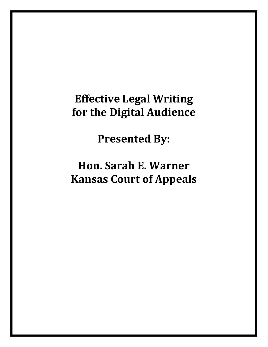# **Effective Legal Writing for the Digital Audience**

**Presented By:**

# **Hon. Sarah E. Warner Kansas Court of Appeals**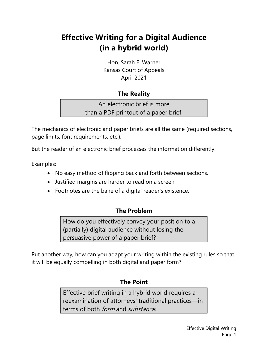## **Effective Writing for a Digital Audience (in a hybrid world)**

Hon. Sarah E. Warner Kansas Court of Appeals April 2021

## **The Reality**

An electronic brief is more than a PDF printout of a paper brief.

The mechanics of electronic and paper briefs are all the same (required sections, page limits, font requirements, etc.).

But the reader of an electronic brief processes the information differently.

Examples:

- No easy method of flipping back and forth between sections.
- Justified margins are harder to read on a screen.
- Footnotes are the bane of a digital reader's existence.

## **The Problem**

How do you effectively convey your position to a (partially) digital audience without losing the persuasive power of a paper brief?

Put another way, how can you adapt your writing within the existing rules so that it will be equally compelling in both digital and paper form?

## **The Point**

Effective brief writing in a hybrid world requires a reexamination of attorneys' traditional practices—in terms of both *form* and *substance*.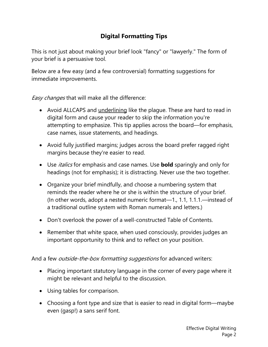## **Digital Formatting Tips**

This is not just about making your brief look "fancy" or "lawyerly." The form of your brief is a persuasive tool.

Below are a few easy (and a few controversial) formatting suggestions for immediate improvements.

Easy changes that will make all the difference:

- Avoid ALLCAPS and underlining like the plague. These are hard to read in digital form and cause your reader to skip the information you're attempting to emphasize. This tip applies across the board—for emphasis, case names, issue statements, and headings.
- Avoid fully justified margins; judges across the board prefer ragged right margins because they're easier to read.
- Use italics for emphasis and case names. Use **bold** sparingly and only for headings (not for emphasis); it is distracting. Never use the two together.
- Organize your brief mindfully, and choose a numbering system that reminds the reader where he or she is within the structure of your brief. (In other words, adopt a nested numeric format—1., 1.1, 1.1.1.—instead of a traditional outline system with Roman numerals and letters.)
- Don't overlook the power of a well-constructed Table of Contents.
- Remember that white space, when used consciously, provides judges an important opportunity to think and to reflect on your position.

And a few *outside-the-box formatting suggestions* for advanced writers:

- Placing important statutory language in the corner of every page where it might be relevant and helpful to the discussion.
- Using tables for comparison.
- Choosing a font type and size that is easier to read in digital form—maybe even (gasp!) a sans serif font.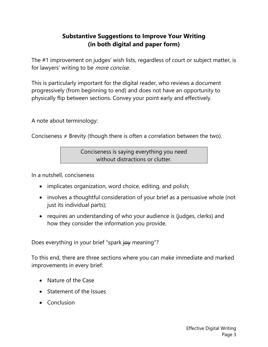## **Substantive Suggestions to Improve Your Writing (in both digital and paper form)**

The #1 improvement on judges' wish lists, regardless of court or subject matter, is for lawyers' writing to be *more concise*.

This is particularly important for the digital reader, who reviews a document progressively (from beginning to end) and does not have an opportunity to physically flip between sections. Convey your point early and effectively.

A note about terminology:

Conciseness  $\neq$  Brevity (though there is often a correlation between the two).

Conciseness is saying everything you need without distractions or clutter.

In a nutshell, conciseness

- implicates organization, word choice, editing, and polish;
- involves a thoughtful consideration of your brief as a persuasive whole (not just its individual parts);
- requires an understanding of who your audience is (judges, clerks) and how they consider the information you provide.

Does everything in your brief "spark joy meaning"?

To this end, there are three sections where you can make immediate and marked improvements in every brief:

- Nature of the Case
- Statement of the Issues
- Conclusion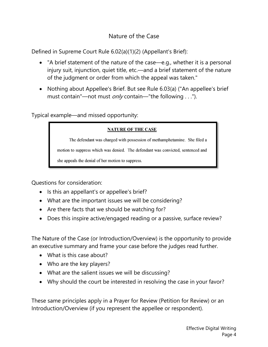## Nature of the Case

Defined in Supreme Court Rule 6.02(a)(1)(2) (Appellant's Brief):

- "A brief statement of the nature of the case—e.g., whether it is a personal injury suit, injunction, quiet title, etc.—and a brief statement of the nature of the judgment or order from which the appeal was taken."
- Nothing about Appellee's Brief. But see Rule 6.03(a) ("An appellee's brief must contain"—not must *only* contain—"the following . . .").

Typical example—and missed opportunity:

#### **NATURE OF THE CASE**

The defendant was charged with possession of methamphetamine. She filed a

motion to suppress which was denied. The defendant was convicted, sentenced and

she appeals the denial of her motion to suppress.

Questions for consideration:

- Is this an appellant's or appellee's brief?
- What are the important issues we will be considering?
- Are there facts that we should be watching for?
- Does this inspire active/engaged reading or a passive, surface review?

The Nature of the Case (or Introduction/Overview) is the opportunity to provide an executive summary and frame your case before the judges read further.

- What is this case about?
- Who are the key players?
- What are the salient issues we will be discussing?
- Why should the court be interested in resolving the case in your favor?

These same principles apply in a Prayer for Review (Petition for Review) or an Introduction/Overview (if you represent the appellee or respondent).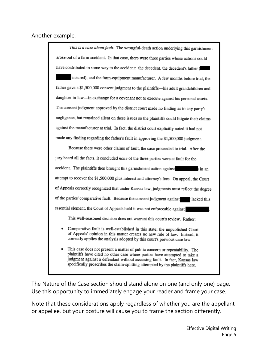#### Another example:

| This is a case about fault. The wrongful-death action underlying this garnishment                                                                                                                                                                                                                                       |
|-------------------------------------------------------------------------------------------------------------------------------------------------------------------------------------------------------------------------------------------------------------------------------------------------------------------------|
| arose out of a farm accident. In that case, there were three parties whose actions could                                                                                                                                                                                                                                |
| have contributed in some way to the accident: the decedent, the decedent's father (                                                                                                                                                                                                                                     |
| insured), and the farm-equipment manufacturer. A few months before trial, the                                                                                                                                                                                                                                           |
| father gave a \$1,500,000 consent judgment to the plaintiffs-his adult grandchildren and                                                                                                                                                                                                                                |
| daughter-in-law-in exchange for a covenant not to execute against his personal assets.                                                                                                                                                                                                                                  |
| The consent judgment approved by the district court made no finding as to any party's                                                                                                                                                                                                                                   |
| negligence, but remained silent on these issues so the plaintiffs could litigate their claims                                                                                                                                                                                                                           |
| against the manufacturer at trial. In fact, the district court explicitly noted it had not                                                                                                                                                                                                                              |
| made any finding regarding the father's fault in approving the \$1,500,000 judgment.                                                                                                                                                                                                                                    |
| Because there were other claims of fault, the case proceeded to trial. After the                                                                                                                                                                                                                                        |
| jury heard all the facts, it concluded none of the three parties were at fault for the                                                                                                                                                                                                                                  |
| accident. The plaintiffs then brought this garnishment action against                                                                                                                                                                                                                                                   |
| attempt to recover the \$1,500,000 plus interest and attorney's fees. On appeal, the Court                                                                                                                                                                                                                              |
| of Appeals correctly recognized that under Kansas law, judgments must reflect the degree                                                                                                                                                                                                                                |
| of the parties' comparative fault. Because the consent judgment against<br>lacked this                                                                                                                                                                                                                                  |
| essential element, the Court of Appeals held it was not enforceable against                                                                                                                                                                                                                                             |
| This well-reasoned decision does not warrant this court's review. Rather:                                                                                                                                                                                                                                               |
| Comparative fault is well-established in this state; the unpublished Court<br>of Appeals' opinion in this matter creates no new rule of law. Instead, it<br>correctly applies the analysis adopted by this court's previous case law.                                                                                   |
| This case does not present a matter of public concern or repeatability. The<br>plaintiffs have cited no other case where parties have attempted to take a<br>judgment against a defendant without assessing fault. In fact, Kansas law<br>specifically proscribes the claim-splitting attempted by the plaintiffs here. |

The Nature of the Case section should stand alone on one (and only one) page. Use this opportunity to immediately engage your reader and frame your case.

Note that these considerations apply regardless of whether you are the appellant or appellee, but your posture will cause you to frame the section differently.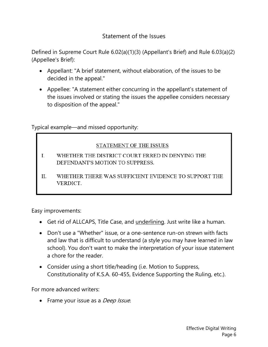## Statement of the Issues

Defined in Supreme Court Rule 6.02(a)(1)(3) (Appellant's Brief) and Rule 6.03(a)(2) (Appellee's Brief):

- Appellant: "A brief statement, without elaboration, of the issues to be decided in the appeal."
- Appellee: "A statement either concurring in the appellant's statement of the issues involved or stating the issues the appellee considers necessary to disposition of the appeal."

Typical example—and missed opportunity:

#### STATEMENT OF THE ISSUES

- WHETHER THE DISTRICT COURT ERRED IN DENYING THE  $\mathbf{I}$ . DEFENDANT'S MOTION TO SUPPRESS.
- II. WHETHER THERE WAS SUFFICIENT EVIDENCE TO SUPPORT THE VERDICT.

Easy improvements:

- Get rid of ALLCAPS, Title Case, and underlining. Just write like a human.
- Don't use a "Whether" issue, or a one-sentence run-on strewn with facts and law that is difficult to understand (a style you may have learned in law school). You don't want to make the interpretation of your issue statement a chore for the reader.
- Consider using a short title/heading (i.e. Motion to Suppress, Constitutionality of K.S.A. 60-455, Evidence Supporting the Ruling, etc.).

For more advanced writers:

• Frame your issue as a *Deep Issue*.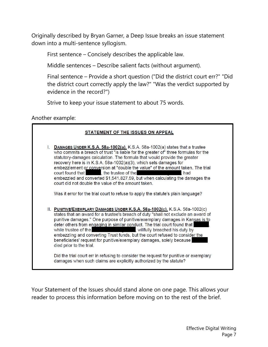Originally described by Bryan Garner, a Deep Issue breaks an issue statement down into a multi-sentence syllogism.

First sentence – Concisely describes the applicable law.

Middle sentences – Describe salient facts (without argument).

Final sentence – Provide a short question ("Did the district court err?" "Did the district court correctly apply the law?" "Was the verdict supported by evidence in the record?")

Strive to keep your issue statement to about 75 words.

Another example:



Your Statement of the Issues should stand alone on one page. This allows your reader to process this information before moving on to the rest of the brief.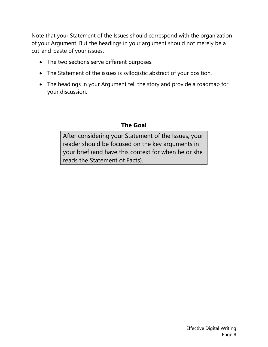Note that your Statement of the Issues should correspond with the organization of your Argument. But the headings in your argument should not merely be a cut-and-paste of your issues.

- The two sections serve different purposes.
- The Statement of the issues is syllogistic abstract of your position.
- The headings in your Argument tell the story and provide a roadmap for your discussion.

## **The Goal**

After considering your Statement of the Issues, your reader should be focused on the key arguments in your brief (and have this context for when he or she reads the Statement of Facts).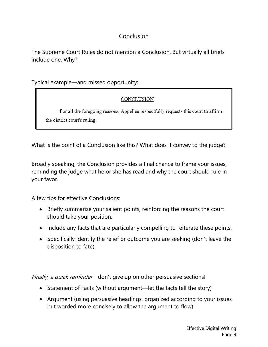## Conclusion

The Supreme Court Rules do not mention a Conclusion. But virtually all briefs include one. Why?

Typical example—and missed opportunity:

#### CONCLUSION

For all the foregoing reasons, Appellee respectfully requests this court to affirm the district court's ruling.

What is the point of a Conclusion like this? What does it convey to the judge?

Broadly speaking, the Conclusion provides a final chance to frame your issues, reminding the judge what he or she has read and why the court should rule in your favor.

A few tips for effective Conclusions:

- Briefly summarize your salient points, reinforcing the reasons the court should take your position.
- Include any facts that are particularly compelling to reiterate these points.
- Specifically identify the relief or outcome you are seeking (don't leave the disposition to fate).

Finally, a quick reminder—don't give up on other persuasive sections!

- Statement of Facts (without argument—let the facts tell the story)
- Argument (using persuasive headings, organized according to your issues but worded more concisely to allow the argument to flow)